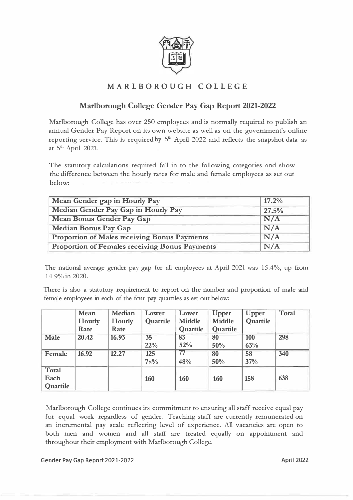

## **MARLBOROUGH COLLEGE**

## **Marlborough College Gender Pay Gap Report 2021-2022**

Marlborough College has over 250 employees and is normally required to publish an annual Gender Pay Report on its own website as well as on the government's online reporting service. This is required by  $5<sup>th</sup>$  April 2022 and reflects the snapshot data as at 5<sup>th</sup> April 2021.

The statutory calculations required fall in to the following categories and show the difference between the hourly rates for male and female employees as set out below:

| Mean Gender gap in Hourly Pay                         | 17.2% |  |  |
|-------------------------------------------------------|-------|--|--|
| Median Gender Pay Gap in Hourly Pay                   | 27.5% |  |  |
| <b>Mean Bonus Gender Pay Gap</b>                      | N/A   |  |  |
| <b>Median Bonus Pay Gap</b>                           | N/A   |  |  |
| Proportion of Males receiving Bonus Payments          | N/A   |  |  |
| <b>Proportion of Females receiving Bonus Payments</b> | N/A   |  |  |

The national average gender pay gap for all employees at April 2021 was 15.4%, up from 14.9% in 2020.

There is also a statutory requirement to report on the number and proportion of male and female employees in each of the four pay quartiles as set out below:

|             | Mean   | Median | Lower    | Lower         | Upper         | <b>Upper</b> | <b>Total</b> |
|-------------|--------|--------|----------|---------------|---------------|--------------|--------------|
|             | Hourly | Hourly | Quartile | <b>Middle</b> | <b>Middle</b> | Quartile     |              |
|             | Rate   | Rate   |          | Quartile      | Quartile      |              |              |
| <b>Male</b> | 20.42  | 16.93  | 35       | 83            | 80            | 100          | 298          |
|             |        |        | 22%      | 52%           | 50%           | 63%          |              |
| Female      | 16.92  | 12.27  | 125      | 77            | 80            | 58           | 340          |
|             |        |        | 78%      | 48%           | 50%           | 37%          |              |
| Total       |        |        |          |               |               |              |              |
| Each        |        |        | 160      | 160           | 160           | 158          | 638          |
| Quartile    |        |        |          |               |               |              |              |

Marlborough College continues its commitment to ensuring all staff receive equal pay for equal work regardless of gender. Teaching staff are currently remunerated on an incremental pay scale reflecting level of experience. All vacancies are open to both men and women and all staff are treated equally on appointment and throughout their employment with Marlborough College.